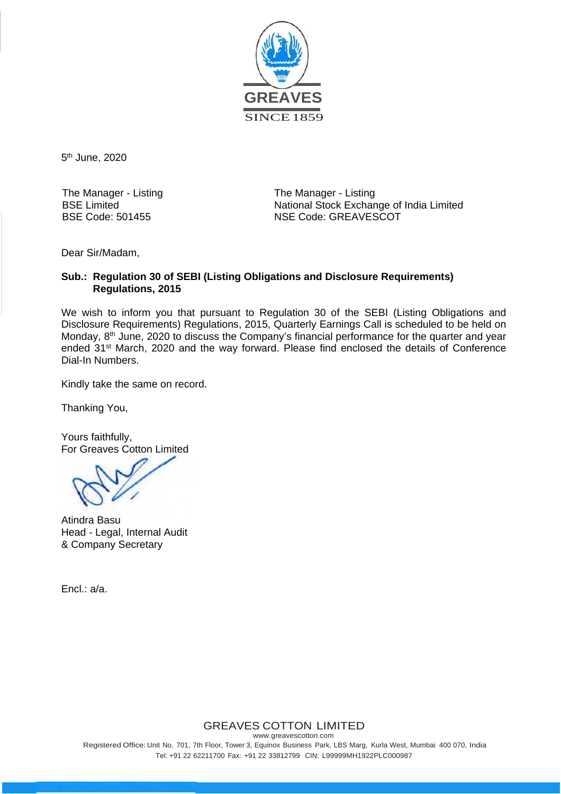

5th June, 2020

The Manager - Listing BSE Limited BSE Code: 501455

The Manager - Listing National Stock Exchange of India Limited NSE Code: GREAVESCOT

Dear Sir/Madam,

#### **Sub.: Regulation 30 of SEBI (Listing Obligations and Disclosure Requirements) Regulations, 2015**

We wish to inform you that pursuant to Regulation 30 of the SEBI (Listing Obligations and Disclosure Requirements) Regulations, 2015, Quarterly Earnings Call is scheduled to be held on Monday, 8<sup>th</sup> June, 2020 to discuss the Company's financial performance for the quarter and year ended 31st March, 2020 and the way forward. Please find enclosed the details of Conference Dial-In Numbers.

Kindly take the same on record.

Thanking You,

Yours faithfully, For Greaves Cotton Limited

Atindra Basu Head - Legal, Internal Audit & Company Secretary

Encl.: a/a.

### GREAVES COTTON LIMITED

www.greavescotton.com Registered Office: Unit No. 701, 7th Floor, Tower 3, Equinox Business Park, LBS Marg, Kurla West, Mumbai 400 070, India Tel: +91 22 62211700 Fax: +91 22 33812799 CIN: L99999MH1922PLC000987